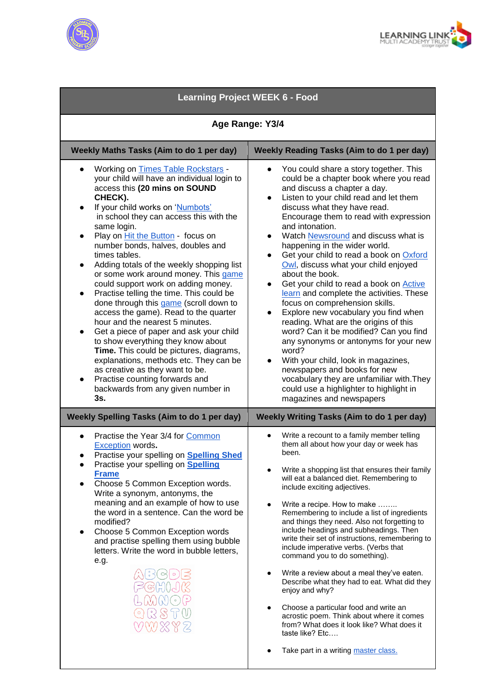



| <b>Learning Project WEEK 6 - Food</b>                                                                                                                                                                                                                                                                                                                                                                                                                                                                                                                                                                                                                                                                                                                                                                                                                                                                                                                                                             |                                                                                                                                                                                                                                                                                                                                                                                                                                                                                                                                                                                                                                                                                                                                                                                                                                                                                                                                                                                                                             |
|---------------------------------------------------------------------------------------------------------------------------------------------------------------------------------------------------------------------------------------------------------------------------------------------------------------------------------------------------------------------------------------------------------------------------------------------------------------------------------------------------------------------------------------------------------------------------------------------------------------------------------------------------------------------------------------------------------------------------------------------------------------------------------------------------------------------------------------------------------------------------------------------------------------------------------------------------------------------------------------------------|-----------------------------------------------------------------------------------------------------------------------------------------------------------------------------------------------------------------------------------------------------------------------------------------------------------------------------------------------------------------------------------------------------------------------------------------------------------------------------------------------------------------------------------------------------------------------------------------------------------------------------------------------------------------------------------------------------------------------------------------------------------------------------------------------------------------------------------------------------------------------------------------------------------------------------------------------------------------------------------------------------------------------------|
| Age Range: Y3/4                                                                                                                                                                                                                                                                                                                                                                                                                                                                                                                                                                                                                                                                                                                                                                                                                                                                                                                                                                                   |                                                                                                                                                                                                                                                                                                                                                                                                                                                                                                                                                                                                                                                                                                                                                                                                                                                                                                                                                                                                                             |
| Weekly Maths Tasks (Aim to do 1 per day)                                                                                                                                                                                                                                                                                                                                                                                                                                                                                                                                                                                                                                                                                                                                                                                                                                                                                                                                                          | <b>Weekly Reading Tasks (Aim to do 1 per day)</b>                                                                                                                                                                                                                                                                                                                                                                                                                                                                                                                                                                                                                                                                                                                                                                                                                                                                                                                                                                           |
| <b>Working on Times Table Rockstars -</b><br>$\bullet$<br>your child will have an individual login to<br>access this (20 mins on SOUND<br>CHECK).<br>If your child works on 'Numbots'<br>$\bullet$<br>in school they can access this with the<br>same login.<br>Play on Hit the Button - focus on<br>$\bullet$<br>number bonds, halves, doubles and<br>times tables.<br>Adding totals of the weekly shopping list<br>$\bullet$<br>or some work around money. This game<br>could support work on adding money.<br>Practise telling the time. This could be<br>$\bullet$<br>done through this game (scroll down to<br>access the game). Read to the quarter<br>hour and the nearest 5 minutes.<br>Get a piece of paper and ask your child<br>to show everything they know about<br>Time. This could be pictures, diagrams,<br>explanations, methods etc. They can be<br>as creative as they want to be.<br>Practise counting forwards and<br>$\bullet$<br>backwards from any given number in<br>3s. | You could share a story together. This<br>$\bullet$<br>could be a chapter book where you read<br>and discuss a chapter a day.<br>Listen to your child read and let them<br>$\bullet$<br>discuss what they have read.<br>Encourage them to read with expression<br>and intonation.<br>Watch Newsround and discuss what is<br>$\bullet$<br>happening in the wider world.<br>Get your child to read a book on Oxford<br>$\bullet$<br>Owl, discuss what your child enjoyed<br>about the book.<br>Get your child to read a book on <b>Active</b><br>$\bullet$<br>learn and complete the activities. These<br>focus on comprehension skills.<br>Explore new vocabulary you find when<br>reading. What are the origins of this<br>word? Can it be modified? Can you find<br>any synonyms or antonyms for your new<br>word?<br>With your child, look in magazines,<br>$\bullet$<br>newspapers and books for new<br>vocabulary they are unfamiliar with. They<br>could use a highlighter to highlight in<br>magazines and newspapers |
| <b>Weekly Spelling Tasks (Aim to do 1 per day)</b>                                                                                                                                                                                                                                                                                                                                                                                                                                                                                                                                                                                                                                                                                                                                                                                                                                                                                                                                                | Weekly Writing Tasks (Aim to do 1 per day)                                                                                                                                                                                                                                                                                                                                                                                                                                                                                                                                                                                                                                                                                                                                                                                                                                                                                                                                                                                  |
| Practise the Year 3/4 for Common<br><b>Exception words.</b><br>Practise your spelling on Spelling Shed<br>Practise your spelling on <b>Spelling</b><br><b>Frame</b><br>Choose 5 Common Exception words.<br>Write a synonym, antonyms, the<br>meaning and an example of how to use<br>the word in a sentence. Can the word be<br>modified?<br>Choose 5 Common Exception words<br>$\bullet$<br>and practise spelling them using bubble<br>letters. Write the word in bubble letters,<br>e.g.<br><u>el 5</u><br>ંડ                                                                                                                                                                                                                                                                                                                                                                                                                                                                                   | Write a recount to a family member telling<br>them all about how your day or week has<br>been.<br>Write a shopping list that ensures their family<br>will eat a balanced diet. Remembering to<br>include exciting adjectives.<br>Write a recipe. How to make<br>Remembering to include a list of ingredients<br>and things they need. Also not forgetting to<br>include headings and subheadings. Then<br>write their set of instructions, remembering to<br>include imperative verbs. (Verbs that<br>command you to do something).<br>Write a review about a meal they've eaten.<br>Describe what they had to eat. What did they<br>enjoy and why?<br>Choose a particular food and write an<br>acrostic poem. Think about where it comes<br>from? What does it look like? What does it<br>taste like? Etc<br>Take part in a writing master class.                                                                                                                                                                          |